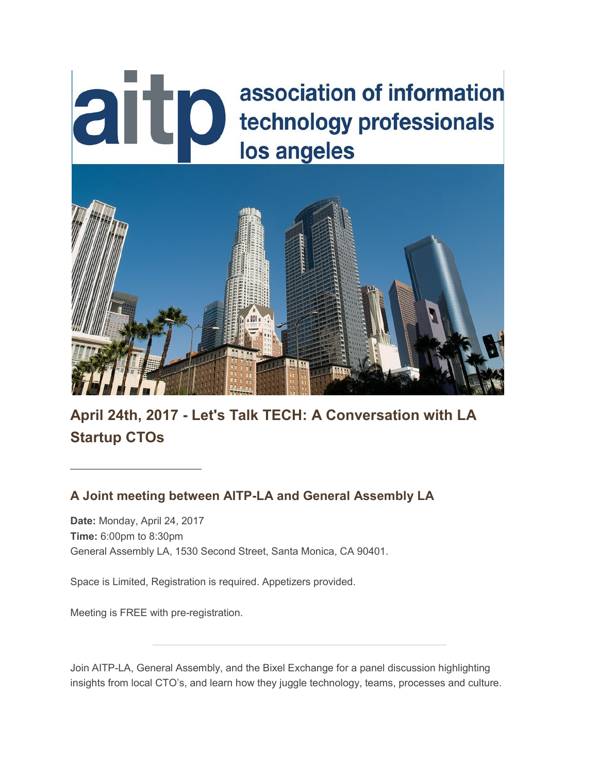# aitp association of information technology professionals los angeles



**April 24th, 2017 - Let's Talk TECH: A Conversation with LA Startup CTOs**

## **A Joint meeting between AITP-LA and General Assembly LA**

**Date:** Monday, April 24, 2017 **Time:** 6:00pm to 8:30pm General Assembly LA, 1530 Second Street, Santa Monica, CA 90401.

Space is Limited, Registration is required. Appetizers provided.

Meeting is FREE with pre-registration.

 $\overline{\phantom{a}}$  , and the set of the set of the set of the set of the set of the set of the set of the set of the set of the set of the set of the set of the set of the set of the set of the set of the set of the set of the s

Join AITP-LA, General Assembly, and the Bixel Exchange for a panel discussion highlighting insights from local CTO's, and learn how they juggle technology, teams, processes and culture.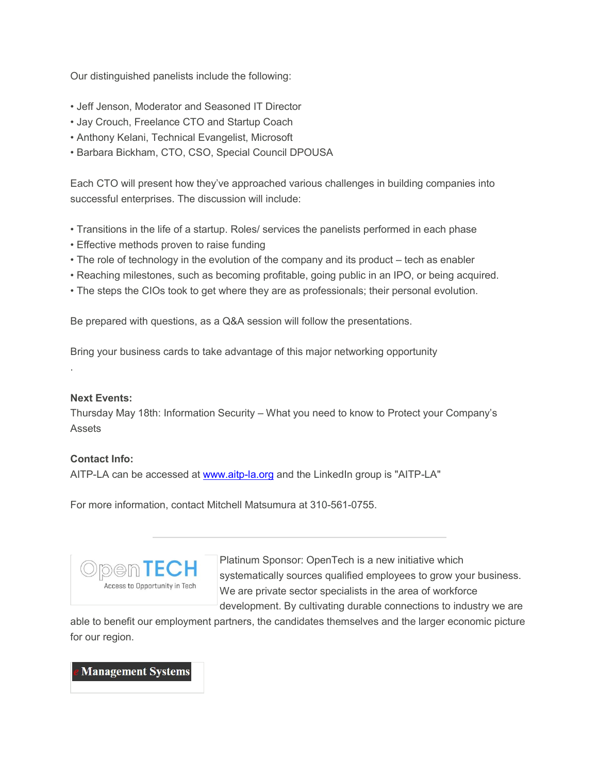Our distinguished panelists include the following:

- Jeff Jenson, Moderator and Seasoned IT Director
- Jay Crouch, Freelance CTO and Startup Coach
- Anthony Kelani, Technical Evangelist, Microsoft
- Barbara Bickham, CTO, CSO, Special Council DPOUSA

Each CTO will present how they've approached various challenges in building companies into successful enterprises. The discussion will include:

- Transitions in the life of a startup. Roles/ services the panelists performed in each phase
- Effective methods proven to raise funding
- The role of technology in the evolution of the company and its product tech as enabler
- Reaching milestones, such as becoming profitable, going public in an IPO, or being acquired.
- The steps the CIOs took to get where they are as professionals; their personal evolution.

Be prepared with questions, as a Q&A session will follow the presentations.

Bring your business cards to take advantage of this major networking opportunity

#### **Next Events:**

.

Thursday May 18th: Information Security – What you need to know to Protect your Company's Assets

#### **Contact Info:**

AITP-LA can be accessed at [www.aitp-la.org](http://www.aitp-la.org/) and the LinkedIn group is "AITP-LA"

For more information, contact Mitchell Matsumura at 310-561-0755.



Platinum Sponsor: OpenTech is a new initiative which systematically sources qualified employees to grow your business. We are private sector specialists in the area of workforce development. By cultivating durable connections to industry we are

able to benefit our employment partners, the candidates themselves and the larger economic picture for our region.

**Management Systems**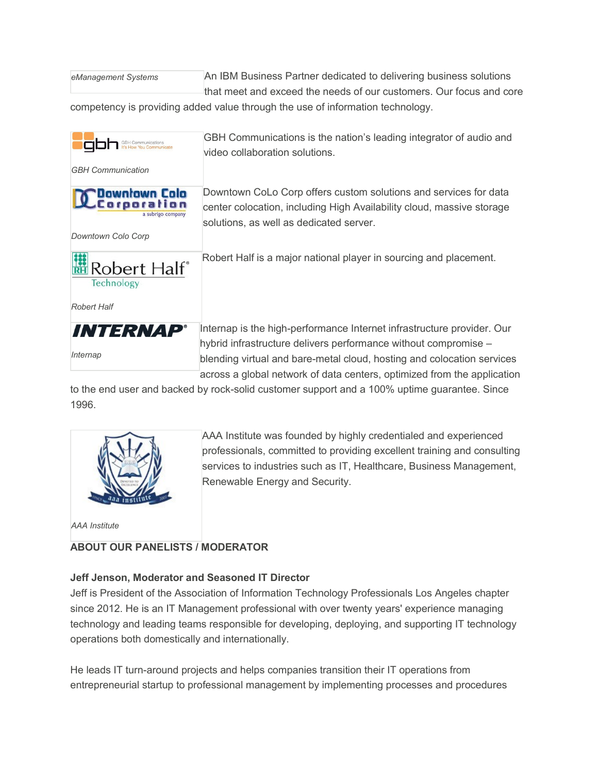| eManagement Systems |  |
|---------------------|--|
|---------------------|--|

An IBM Business Partner dedicated to delivering business solutions that meet and exceed the needs of our customers. Our focus and core

competency is providing added value through the use of information technology.



to the end user and backed by rock-solid customer support and a 100% uptime guarantee. Since 1996.



AAA Institute was founded by highly credentialed and experienced professionals, committed to providing excellent training and consulting services to industries such as IT, Healthcare, Business Management, Renewable Energy and Security.

*AAA Institute*

#### **ABOUT OUR PANELISTS / MODERATOR**

## **Jeff Jenson, Moderator and Seasoned IT Director**

Jeff is President of the Association of Information Technology Professionals Los Angeles chapter since 2012. He is an IT Management professional with over twenty years' experience managing technology and leading teams responsible for developing, deploying, and supporting IT technology operations both domestically and internationally.

He leads IT turn-around projects and helps companies transition their IT operations from entrepreneurial startup to professional management by implementing processes and procedures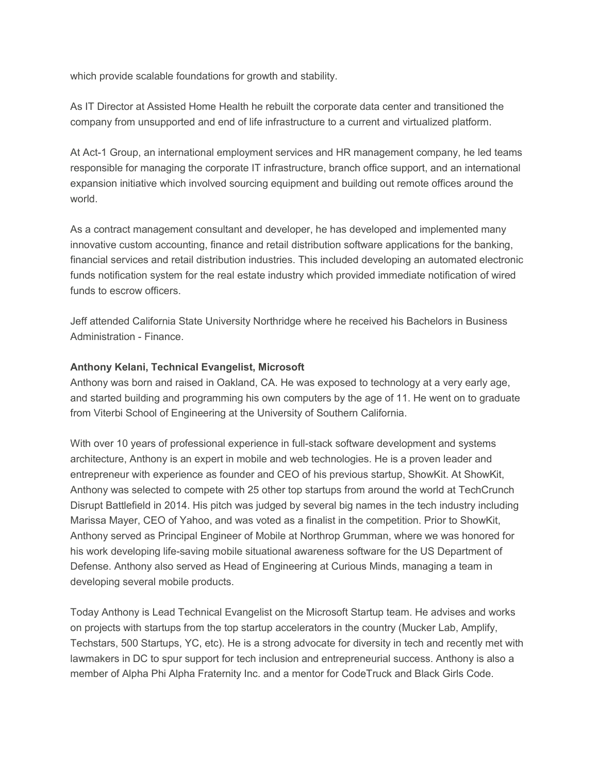which provide scalable foundations for growth and stability.

As IT Director at Assisted Home Health he rebuilt the corporate data center and transitioned the company from unsupported and end of life infrastructure to a current and virtualized platform.

At Act-1 Group, an international employment services and HR management company, he led teams responsible for managing the corporate IT infrastructure, branch office support, and an international expansion initiative which involved sourcing equipment and building out remote offices around the world.

As a contract management consultant and developer, he has developed and implemented many innovative custom accounting, finance and retail distribution software applications for the banking, financial services and retail distribution industries. This included developing an automated electronic funds notification system for the real estate industry which provided immediate notification of wired funds to escrow officers.

Jeff attended California State University Northridge where he received his Bachelors in Business Administration - Finance.

#### **Anthony Kelani, Technical Evangelist, Microsoft**

Anthony was born and raised in Oakland, CA. He was exposed to technology at a very early age, and started building and programming his own computers by the age of 11. He went on to graduate from Viterbi School of Engineering at the University of Southern California.

With over 10 years of professional experience in full-stack software development and systems architecture, Anthony is an expert in mobile and web technologies. He is a proven leader and entrepreneur with experience as founder and CEO of his previous startup, ShowKit. At ShowKit, Anthony was selected to compete with 25 other top startups from around the world at TechCrunch Disrupt Battlefield in 2014. His pitch was judged by several big names in the tech industry including Marissa Mayer, CEO of Yahoo, and was voted as a finalist in the competition. Prior to ShowKit, Anthony served as Principal Engineer of Mobile at Northrop Grumman, where we was honored for his work developing life-saving mobile situational awareness software for the US Department of Defense. Anthony also served as Head of Engineering at Curious Minds, managing a team in developing several mobile products.

Today Anthony is Lead Technical Evangelist on the Microsoft Startup team. He advises and works on projects with startups from the top startup accelerators in the country (Mucker Lab, Amplify, Techstars, 500 Startups, YC, etc). He is a strong advocate for diversity in tech and recently met with lawmakers in DC to spur support for tech inclusion and entrepreneurial success. Anthony is also a member of Alpha Phi Alpha Fraternity Inc. and a mentor for CodeTruck and Black Girls Code.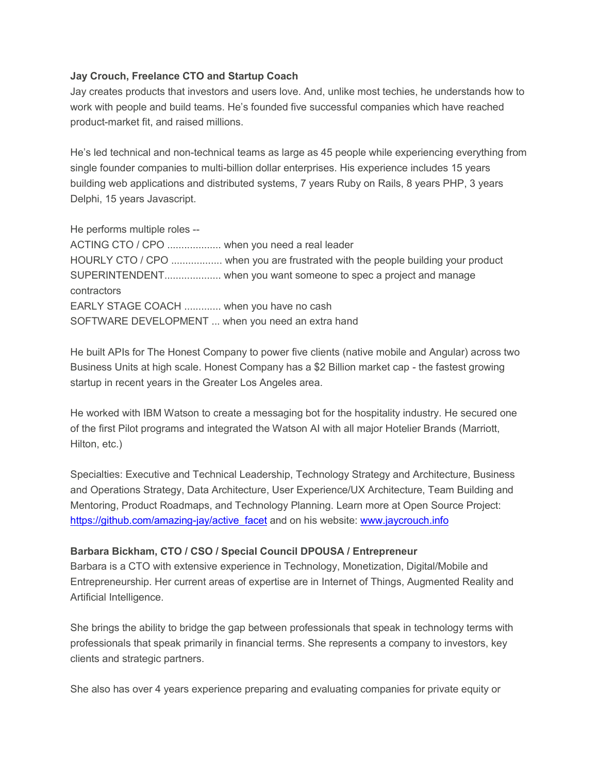#### **Jay Crouch, Freelance CTO and Startup Coach**

Jay creates products that investors and users love. And, unlike most techies, he understands how to work with people and build teams. He's founded five successful companies which have reached product-market fit, and raised millions.

He's led technical and non-technical teams as large as 45 people while experiencing everything from single founder companies to multi-billion dollar enterprises. His experience includes 15 years building web applications and distributed systems, 7 years Ruby on Rails, 8 years PHP, 3 years Delphi, 15 years Javascript.

He performs multiple roles -- ACTING CTO / CPO ................... when you need a real leader HOURLY CTO / CPO .................. when you are frustrated with the people building your product SUPERINTENDENT.................... when you want someone to spec a project and manage contractors EARLY STAGE COACH ............. when you have no cash SOFTWARE DEVELOPMENT ... when you need an extra hand

He built APIs for The Honest Company to power five clients (native mobile and Angular) across two Business Units at high scale. Honest Company has a \$2 Billion market cap - the fastest growing startup in recent years in the Greater Los Angeles area.

He worked with IBM Watson to create a messaging bot for the hospitality industry. He secured one of the first Pilot programs and integrated the Watson AI with all major Hotelier Brands (Marriott, Hilton, etc.)

Specialties: Executive and Technical Leadership, Technology Strategy and Architecture, Business and Operations Strategy, Data Architecture, User Experience/UX Architecture, Team Building and Mentoring, Product Roadmaps, and Technology Planning. Learn more at Open Source Project: [https://github.com/amazing-jay/active\\_facet](https://github.com/amazing-jay/active_facet) and on his website: [www.jaycrouch.info](http://www.jaycrouch.info/)

#### **Barbara Bickham, CTO / CSO / Special Council DPOUSA / Entrepreneur**

Barbara is a CTO with extensive experience in Technology, Monetization, Digital/Mobile and Entrepreneurship. Her current areas of expertise are in Internet of Things, Augmented Reality and Artificial Intelligence.

She brings the ability to bridge the gap between professionals that speak in technology terms with professionals that speak primarily in financial terms. She represents a company to investors, key clients and strategic partners.

She also has over 4 years experience preparing and evaluating companies for private equity or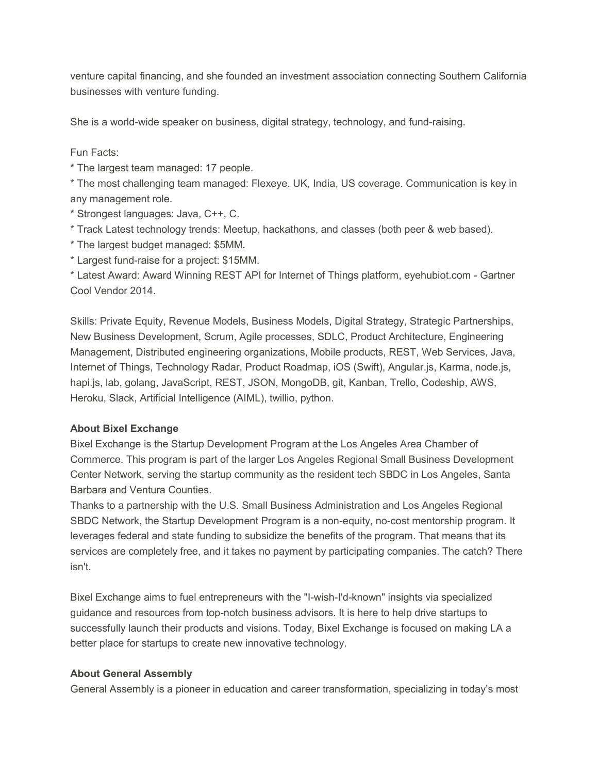venture capital financing, and she founded an investment association connecting Southern California businesses with venture funding.

She is a world-wide speaker on business, digital strategy, technology, and fund-raising.

### Fun Facts:

\* The largest team managed: 17 people.

\* The most challenging team managed: Flexeye. UK, India, US coverage. Communication is key in any management role.

\* Strongest languages: Java, C++, C.

- \* Track Latest technology trends: Meetup, hackathons, and classes (both peer & web based).
- \* The largest budget managed: \$5MM.

\* Largest fund-raise for a project: \$15MM.

\* Latest Award: Award Winning REST API for Internet of Things platform, eyehubiot.com - Gartner Cool Vendor 2014.

Skills: Private Equity, Revenue Models, Business Models, Digital Strategy, Strategic Partnerships, New Business Development, Scrum, Agile processes, SDLC, Product Architecture, Engineering Management, Distributed engineering organizations, Mobile products, REST, Web Services, Java, Internet of Things, Technology Radar, Product Roadmap, iOS (Swift), Angular.js, Karma, node.js, hapi.js, lab, golang, JavaScript, REST, JSON, MongoDB, git, Kanban, Trello, Codeship, AWS, Heroku, Slack, Artificial Intelligence (AIML), twillio, python.

## **About Bixel Exchange**

Bixel Exchange is the Startup Development Program at the Los Angeles Area Chamber of Commerce. This program is part of the larger Los Angeles Regional Small Business Development Center Network, serving the startup community as the resident tech SBDC in Los Angeles, Santa Barbara and Ventura Counties.

Thanks to a partnership with the U.S. Small Business Administration and Los Angeles Regional SBDC Network, the Startup Development Program is a non-equity, no-cost mentorship program. It leverages federal and state funding to subsidize the benefits of the program. That means that its services are completely free, and it takes no payment by participating companies. The catch? There isn't.

Bixel Exchange aims to fuel entrepreneurs with the "I-wish-I'd-known" insights via specialized guidance and resources from top-notch business advisors. It is here to help drive startups to successfully launch their products and visions. Today, Bixel Exchange is focused on making LA a better place for startups to create new innovative technology.

#### **About General Assembly**

General Assembly is a pioneer in education and career transformation, specializing in today's most